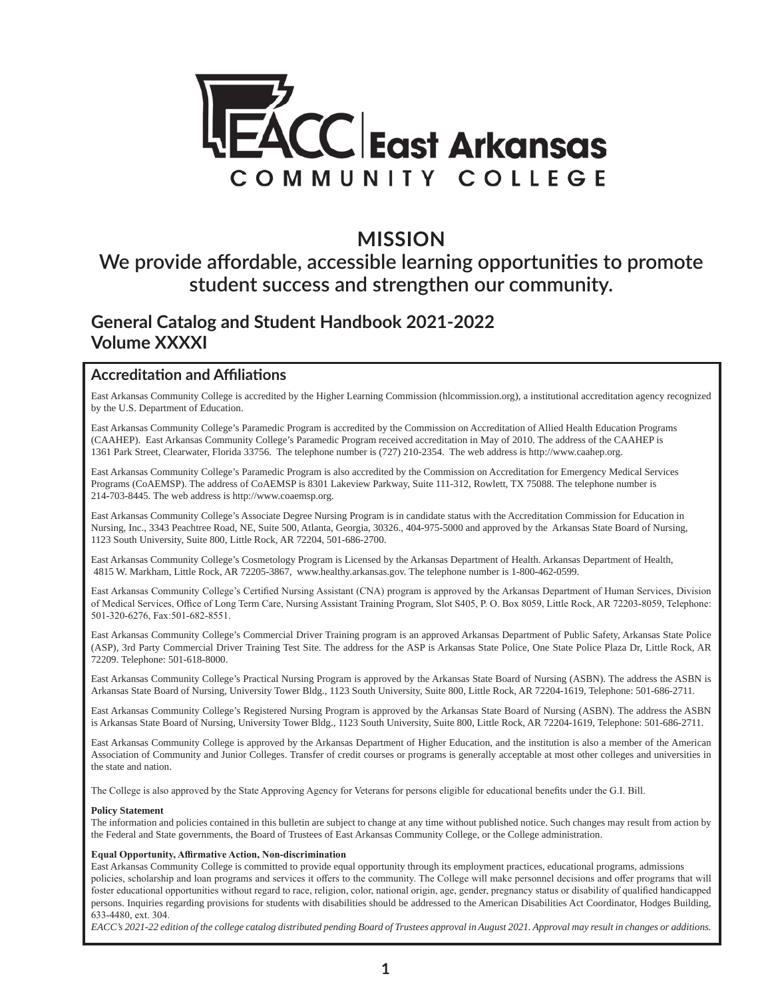

### **MISSION**

### **We provide affordable, accessible learning opportunities to promote student success and strengthen our community.**

#### **General Catalog and Student Handbook 2021-2022 Volume XXXXI**

#### **Accreditation and Affiliations**

East Arkansas Community College is accredited by the Higher Learning Commission (hlcommission.org), a institutional accreditation agency recognized by the U.S. Department of Education.

East Arkansas Community College's Paramedic Program is accredited by the Commission on Accreditation of Allied Health Education Programs (CAAHEP). East Arkansas Community College's Paramedic Program received accreditation in May of 2010. The address of the CAAHEP is 1361 Park Street, Clearwater, Florida 33756. The telephone number is (727) 210-2354. The web address is http://www.caahep.org.

East Arkansas Community College's Paramedic Program is also accredited by the Commission on Accreditation for Emergency Medical Services Programs (CoAEMSP). The address of CoAEMSP is 8301 Lakeview Parkway, Suite 111-312, Rowlett, TX 75088. The telephone number is 214-703-8445. The web address is http://www.coaemsp.org.

East Arkansas Community College's Associate Degree Nursing Program is in candidate status with the Accreditation Commission for Education in Nursing, Inc., 3343 Peachtree Road, NE, Suite 500, Atlanta, Georgia, 30326., 404-975-5000 and approved by the Arkansas State Board of Nursing, 1123 South University, Suite 800, Little Rock, AR 72204, 501-686-2700.

East Arkansas Community College's Cosmetology Program is Licensed by the Arkansas Department of Health. Arkansas Department of Health, 4815 W. Markham, Little Rock, AR 72205-3867, www.healthy.arkansas.gov. The telephone number is 1-800-462-0599.

East Arkansas Community College's Certified Nursing Assistant (CNA) program is approved by the Arkansas Department of Human Services, Division of Medical Services, Office of Long Term Care, Nursing Assistant Training Program, Slot S405, P. O. Box 8059, Little Rock, AR 72203-8059, Telephone: 501-320-6276, Fax:501-682-8551.

East Arkansas Community College's Commercial Driver Training program is an approved Arkansas Department of Public Safety, Arkansas State Police (ASP), 3rd Party Commercial Driver Training Test Site. The address for the ASP is Arkansas State Police, One State Police Plaza Dr, Little Rock, AR 72209. Telephone: 501-618-8000.

East Arkansas Community College's Practical Nursing Program is approved by the Arkansas State Board of Nursing (ASBN). The address the ASBN is Arkansas State Board of Nursing, University Tower Bldg., 1123 South University, Suite 800, Little Rock, AR 72204-1619, Telephone: 501-686-2711.

East Arkansas Community College's Registered Nursing Program is approved by the Arkansas State Board of Nursing (ASBN). The address the ASBN is Arkansas State Board of Nursing, University Tower Bldg., 1123 South University, Suite 800, Little Rock, AR 72204-1619, Telephone: 501-686-2711.

East Arkansas Community College is approved by the Arkansas Department of Higher Education, and the institution is also a member of the American Association of Community and Junior Colleges. Transfer of credit courses or programs is generally acceptable at most other colleges and universities in the state and nation.

The College is also approved by the State Approving Agency for Veterans for persons eligible for educational benefits under the G.I. Bill.

#### **Policy Statement**

The information and policies contained in this bulletin are subject to change at any time without published notice. Such changes may result from action by the Federal and State governments, the Board of Trustees of East Arkansas Community College, or the College administration.

#### **Equal Opportunity, Affirmative Action, Non-discrimination**

East Arkansas Community College is committed to provide equal opportunity through its employment practices, educational programs, admissions policies, scholarship and loan programs and services it offers to the community. The College will make personnel decisions and offer programs that will foster educational opportunities without regard to race, religion, color, national origin, age, gender, pregnancy status or disability of qualified handicapped persons. Inquiries regarding provisions for students with disabilities should be addressed to the American Disabilities Act Coordinator, Hodges Building, 633-4480, ext. 304.

*EACC's 2021-22 edition of the college catalog distributed pending Board of Trustees approval in August 2021. Approval may result in changes or additions.*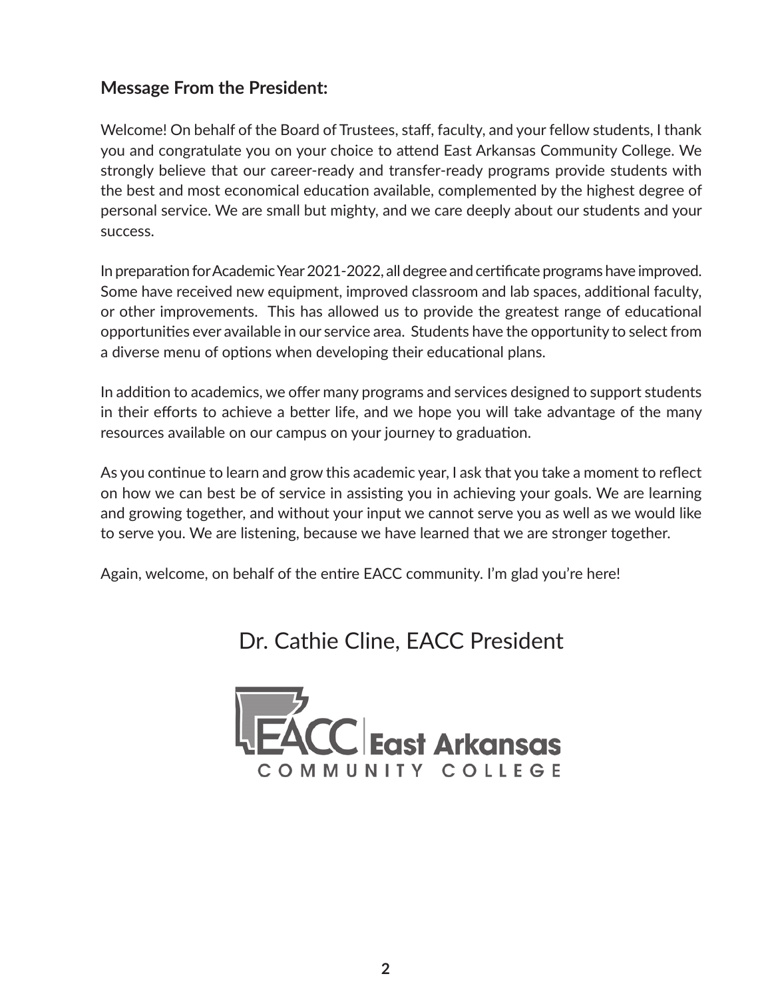### **Message From the President:**

Welcome! On behalf of the Board of Trustees, staff, faculty, and your fellow students, I thank you and congratulate you on your choice to attend East Arkansas Community College. We strongly believe that our career-ready and transfer-ready programs provide students with the best and most economical education available, complemented by the highest degree of personal service. We are small but mighty, and we care deeply about our students and your success.

In preparation for Academic Year 2021-2022, all degree and certificate programs have improved. Some have received new equipment, improved classroom and lab spaces, additional faculty, or other improvements. This has allowed us to provide the greatest range of educational opportunities ever available in our service area. Students have the opportunity to select from a diverse menu of options when developing their educational plans.

In addition to academics, we offer many programs and services designed to support students in their efforts to achieve a better life, and we hope you will take advantage of the many resources available on our campus on your journey to graduation.

As you continue to learn and grow this academic year, I ask that you take a moment to reflect on how we can best be of service in assisting you in achieving your goals. We are learning and growing together, and without your input we cannot serve you as well as we would like to serve you. We are listening, because we have learned that we are stronger together.

Again, welcome, on behalf of the entire EACC community. I'm glad you're here!

### Dr. Cathie Cline, EACC President

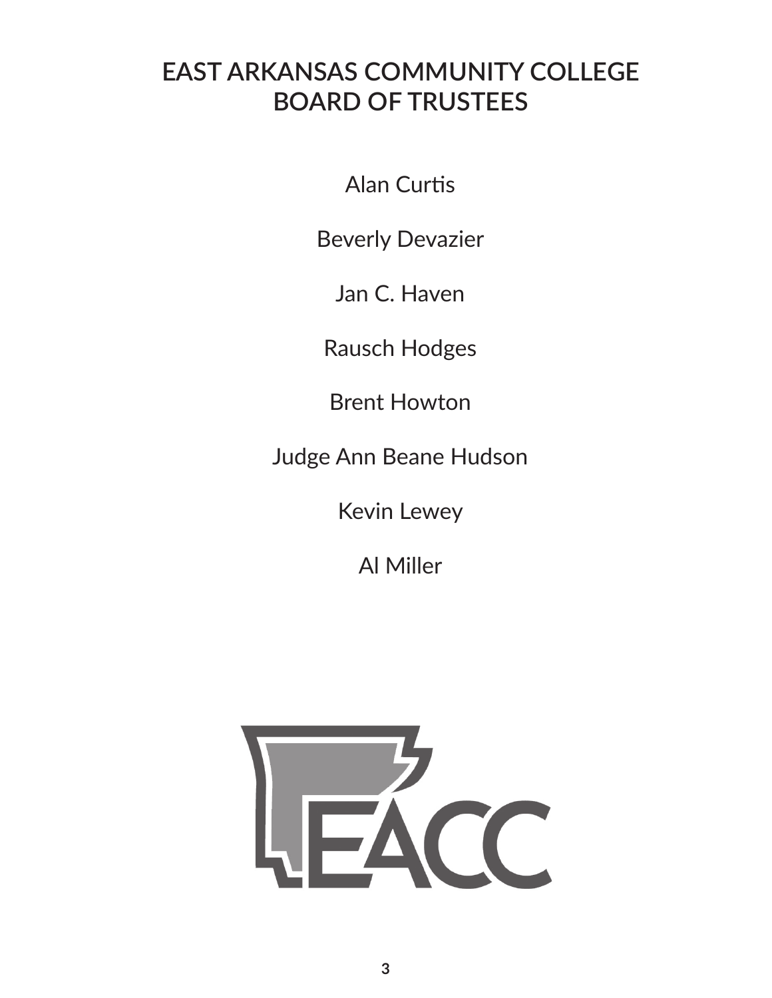## **EAST ARKANSAS COMMUNITY COLLEGE BOARD OF TRUSTEES**

Alan Curtis

Beverly Devazier

Jan C. Haven

Rausch Hodges

Brent Howton

Judge Ann Beane Hudson

Kevin Lewey

Al Miller

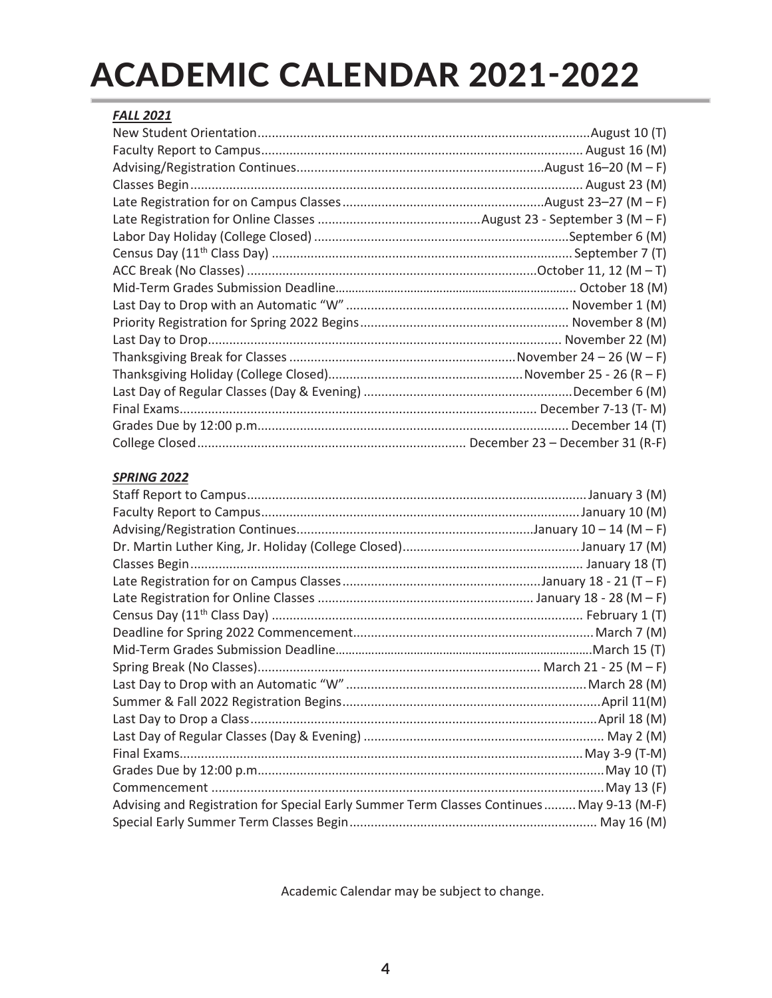# ACADEMIC CALENDAR 2021-2022

| <b>FALL 2021</b> |  |
|------------------|--|
|                  |  |
|                  |  |
|                  |  |
|                  |  |
|                  |  |
|                  |  |
|                  |  |
|                  |  |
|                  |  |
|                  |  |
|                  |  |
|                  |  |
|                  |  |
|                  |  |
|                  |  |
|                  |  |
|                  |  |
|                  |  |
|                  |  |

#### *SPRING 2022*

| Advising and Registration for Special Early Summer Term Classes Continues May 9-13 (M-F) |  |
|------------------------------------------------------------------------------------------|--|
|                                                                                          |  |
|                                                                                          |  |

Academic Calendar may be subject to change.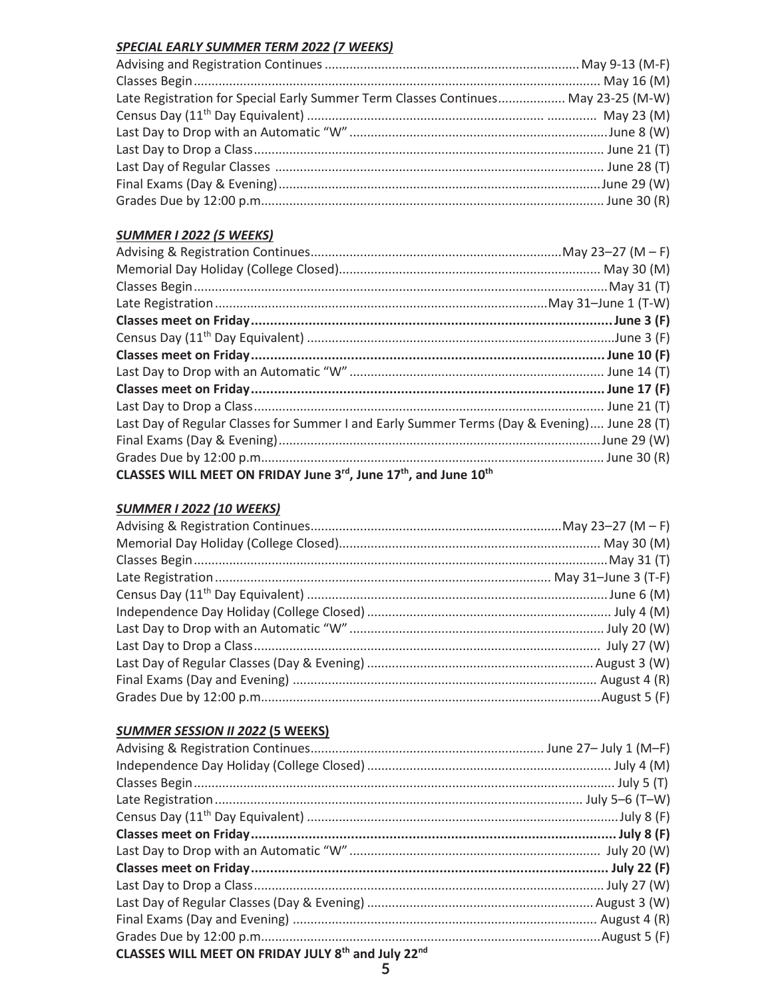#### **SPECIAL EARLY SUMMER TERM 2022 (7 WEEKS)**

| Late Registration for Special Early Summer Term Classes Continues May 23-25 (M-W) |  |
|-----------------------------------------------------------------------------------|--|
|                                                                                   |  |
|                                                                                   |  |
|                                                                                   |  |
|                                                                                   |  |
|                                                                                   |  |
|                                                                                   |  |

#### **SUMMER I 2022 (5 WEEKS)**

| Last Day of Regular Classes for Summer I and Early Summer Terms (Day & Evening) June 28 (T) |  |
|---------------------------------------------------------------------------------------------|--|
|                                                                                             |  |
|                                                                                             |  |
| CLASSES WILL MEET ON FRIDAY June 3rd, June 17th, and June 10th                              |  |

#### **SUMMER I 2022 (10 WEEKS)**

#### **SUMMER SESSION II 2022 (5 WEEKS)**

| CLASSES WILL MEET ON FRIDAY JULY 8th and July 22nd |  |
|----------------------------------------------------|--|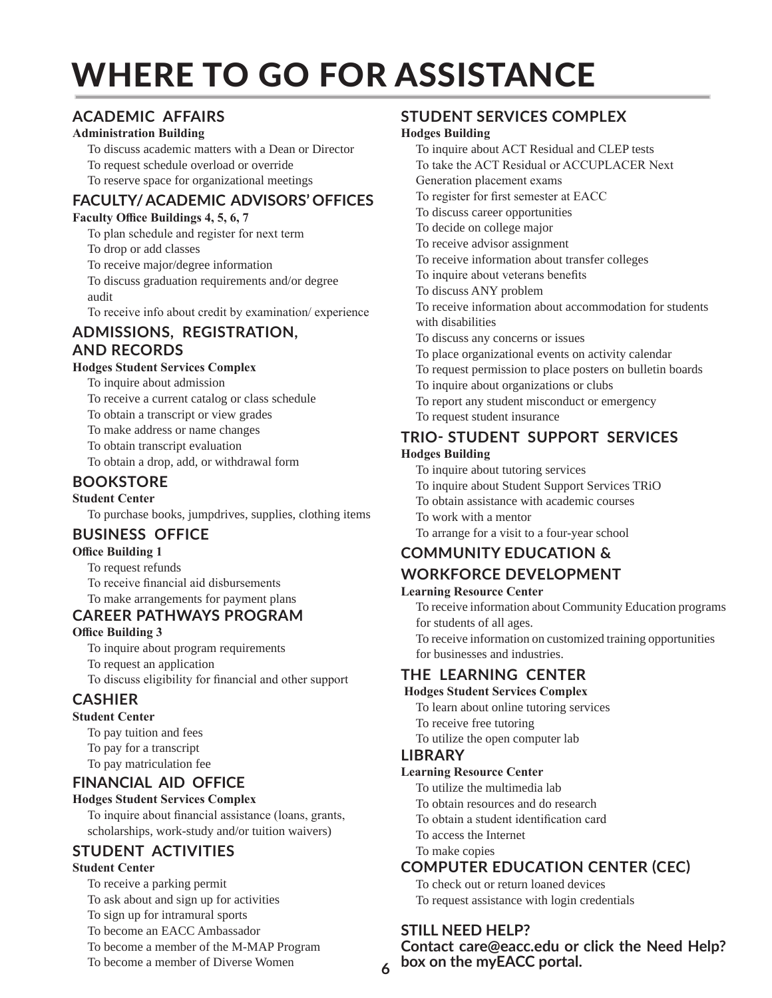# WHERE TO GO FOR ASSISTANCE

#### **ACADEMIC AFFAIRS**

#### **Administration Building**

- To discuss academic matters with a Dean or Director
- To request schedule overload or override
- To reserve space for organizational meetings

#### **FACULTY/ ACADEMIC ADVISORS' OFFICES**

#### **Faculty Office Buildings 4, 5, 6, 7**

To plan schedule and register for next term To drop or add classes

To receive major/degree information

To discuss graduation requirements and/or degree audit

To receive info about credit by examination/ experience

#### **ADMISSIONS, REGISTRATION, AND RECORDS**

#### **Hodges Student Services Complex**

- To inquire about admission
- To receive a current catalog or class schedule
- To obtain a transcript or view grades
- To make address or name changes
- To obtain transcript evaluation
- To obtain a drop, add, or withdrawal form

#### **BOOKSTORE**

**Student Center**

To purchase books, jumpdrives, supplies, clothing items

#### **BUSINESS OFFICE**

#### **Office Building 1**

To request refunds

To receive financial aid disbursements

#### To make arrangements for payment plans

#### **CAREER PATHWAYS PROGRAM**

**Office Building 3**

- To inquire about program requirements
- To request an application
- To discuss eligibility for financial and other support

#### **CASHIER**

#### **Student Center**

To pay tuition and fees To pay for a transcript To pay matriculation fee

#### **FINANCIAL AID OFFICE**

#### **Hodges Student Services Complex**

To inquire about financial assistance (loans, grants, scholarships, work-study and/or tuition waivers)

#### **STUDENT ACTIVITIES**

#### **Student Center**

To receive a parking permit To ask about and sign up for activities To sign up for intramural sports To become an EACC Ambassador To become a member of the M-MAP Program To become a member of Diverse Women

#### **STUDENT SERVICES COMPLEX**

#### **Hodges Building**

- To inquire about ACT Residual and CLEP tests To take the ACT Residual or ACCUPLACER Next Generation placement exams To register for first semester at EACC To discuss career opportunities To decide on college major To receive advisor assignment To receive information about transfer colleges To inquire about veterans benefits To discuss ANY problem To receive information about accommodation for students with disabilities To discuss any concerns or issues To place organizational events on activity calendar To request permission to place posters on bulletin boards To inquire about organizations or clubs To report any student misconduct or emergency
- To request student insurance

#### **TRIO- STUDENT SUPPORT SERVICES**

#### **Hodges Building**

- To inquire about tutoring services
- To inquire about Student Support Services TRiO
- To obtain assistance with academic courses
- To work with a mentor
- To arrange for a visit to a four-year school

#### **COMMUNITY EDUCATION &**

#### **WORKFORCE DEVELOPMENT**

- **Learning Resource Center**
	- To receive information about Community Education programs for students of all ages.
	- To receive information on customized training opportunities for businesses and industries.

#### **THE LEARNING CENTER**

#### **Hodges Student Services Complex**

- To learn about online tutoring services
- To receive free tutoring
- To utilize the open computer lab

#### **LIBRARY**

#### **Learning Resource Center**

- To utilize the multimedia lab
- To obtain resources and do research
- To obtain a student identification card
- To access the Internet
- To make copies

#### **COMPUTER EDUCATION CENTER (CEC)**

To check out or return loaned devices

To request assistance with login credentials

#### **STILL NEED HELP?**

**Contact care@eacc.edu or click the Need Help? box on the myEACC portal.**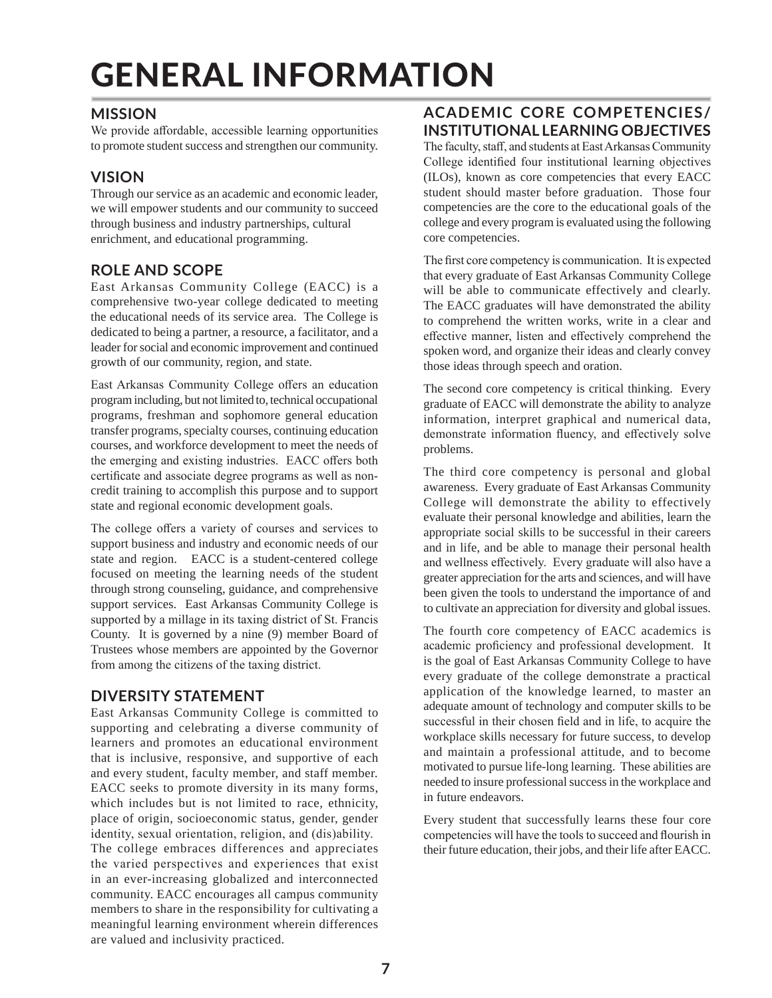# GENERAL INFORMATION

#### **MISSION**

We provide affordable, accessible learning opportunities to promote student success and strengthen our community.

#### **VISION**

Through our service as an academic and economic leader, we will empower students and our community to succeed through business and industry partnerships, cultural enrichment, and educational programming.

#### **ROLE AND SCOPE**

East Arkansas Community College (EACC) is a comprehensive two-year college dedicated to meeting the educational needs of its service area. The College is dedicated to being a partner, a resource, a facilitator, and a leader for social and economic improvement and continued growth of our community, region, and state.

East Arkansas Community College offers an education program including, but not limited to, technical occupational programs, freshman and sophomore general education transfer programs, specialty courses, continuing education courses, and workforce development to meet the needs of the emerging and existing industries. EACC offers both certificate and associate degree programs as well as noncredit training to accomplish this purpose and to support state and regional economic development goals.

The college offers a variety of courses and services to support business and industry and economic needs of our state and region. EACC is a student-centered college focused on meeting the learning needs of the student through strong counseling, guidance, and comprehensive support services. East Arkansas Community College is supported by a millage in its taxing district of St. Francis County. It is governed by a nine (9) member Board of Trustees whose members are appointed by the Governor from among the citizens of the taxing district.

#### **DIVERSITY STATEMENT**

East Arkansas Community College is committed to supporting and celebrating a diverse community of learners and promotes an educational environment that is inclusive, responsive, and supportive of each and every student, faculty member, and staff member. EACC seeks to promote diversity in its many forms, which includes but is not limited to race, ethnicity, place of origin, socioeconomic status, gender, gender identity, sexual orientation, religion, and (dis)ability. The college embraces differences and appreciates the varied perspectives and experiences that exist in an ever-increasing globalized and interconnected community. EACC encourages all campus community members to share in the responsibility for cultivating a meaningful learning environment wherein differences are valued and inclusivity practiced.

#### **ACADEMIC CORE COMPETENCIES/ INSTITUTIONAL LEARNING OBJECTIVES**

The faculty, staff, and students at East Arkansas Community College identified four institutional learning objectives (ILOs), known as core competencies that every EACC student should master before graduation. Those four competencies are the core to the educational goals of the college and every program is evaluated using the following core competencies.

The first core competency is communication. It is expected that every graduate of East Arkansas Community College will be able to communicate effectively and clearly. The EACC graduates will have demonstrated the ability to comprehend the written works, write in a clear and effective manner, listen and effectively comprehend the spoken word, and organize their ideas and clearly convey those ideas through speech and oration.

The second core competency is critical thinking. Every graduate of EACC will demonstrate the ability to analyze information, interpret graphical and numerical data, demonstrate information fluency, and effectively solve problems.

The third core competency is personal and global awareness. Every graduate of East Arkansas Community College will demonstrate the ability to effectively evaluate their personal knowledge and abilities, learn the appropriate social skills to be successful in their careers and in life, and be able to manage their personal health and wellness effectively. Every graduate will also have a greater appreciation for the arts and sciences, and will have been given the tools to understand the importance of and to cultivate an appreciation for diversity and global issues.

The fourth core competency of EACC academics is academic proficiency and professional development. It is the goal of East Arkansas Community College to have every graduate of the college demonstrate a practical application of the knowledge learned, to master an adequate amount of technology and computer skills to be successful in their chosen field and in life, to acquire the workplace skills necessary for future success, to develop and maintain a professional attitude, and to become motivated to pursue life-long learning. These abilities are needed to insure professional success in the workplace and in future endeavors.

Every student that successfully learns these four core competencies will have the tools to succeed and flourish in their future education, their jobs, and their life after EACC.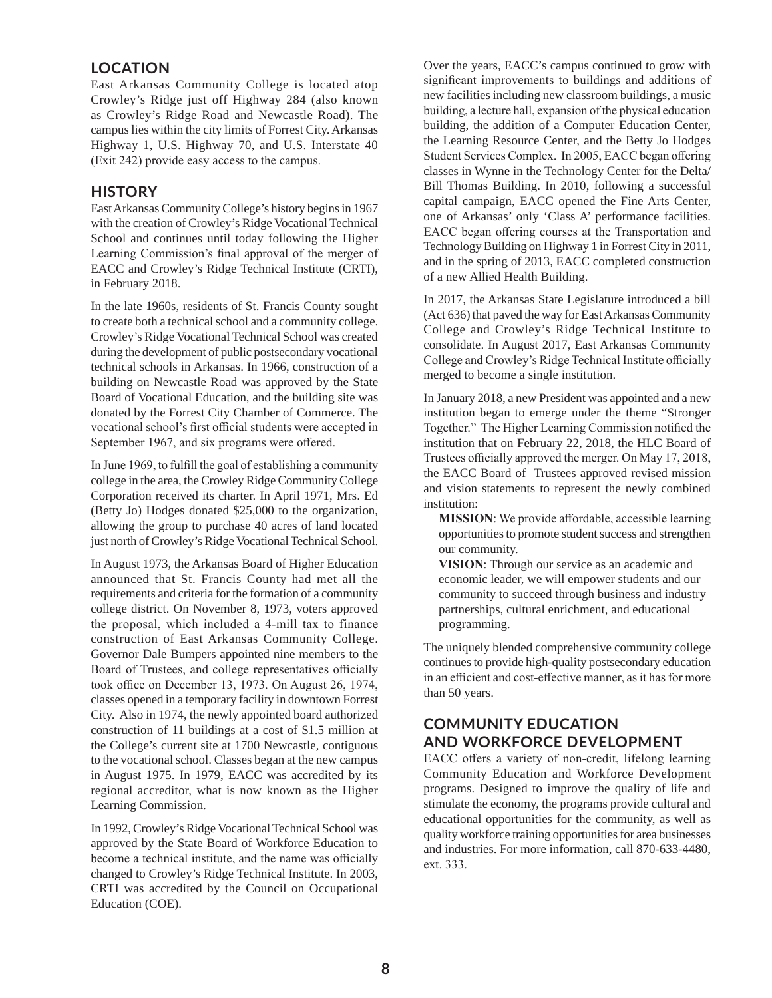#### **LOCATION**

East Arkansas Community College is located atop Crowley's Ridge just off Highway 284 (also known as Crowley's Ridge Road and Newcastle Road). The campus lies within the city limits of Forrest City. Arkansas Highway 1, U.S. Highway 70, and U.S. Interstate 40 (Exit 242) provide easy access to the campus.

#### **HISTORY**

East Arkansas Community College's history begins in 1967 with the creation of Crowley's Ridge Vocational Technical School and continues until today following the Higher Learning Commission's final approval of the merger of EACC and Crowley's Ridge Technical Institute (CRTI), in February 2018.

In the late 1960s, residents of St. Francis County sought to create both a technical school and a community college. Crowley's Ridge Vocational Technical School was created during the development of public postsecondary vocational technical schools in Arkansas. In 1966, construction of a building on Newcastle Road was approved by the State Board of Vocational Education, and the building site was donated by the Forrest City Chamber of Commerce. The vocational school's first official students were accepted in September 1967, and six programs were offered.

In June 1969, to fulfill the goal of establishing a community college in the area, the Crowley Ridge Community College Corporation received its charter. In April 1971, Mrs. Ed (Betty Jo) Hodges donated \$25,000 to the organization, allowing the group to purchase 40 acres of land located just north of Crowley's Ridge Vocational Technical School.

In August 1973, the Arkansas Board of Higher Education announced that St. Francis County had met all the requirements and criteria for the formation of a community college district. On November 8, 1973, voters approved the proposal, which included a 4-mill tax to finance construction of East Arkansas Community College. Governor Dale Bumpers appointed nine members to the Board of Trustees, and college representatives officially took office on December 13, 1973. On August 26, 1974, classes opened in a temporary facility in downtown Forrest City. Also in 1974, the newly appointed board authorized construction of 11 buildings at a cost of \$1.5 million at the College's current site at 1700 Newcastle, contiguous to the vocational school. Classes began at the new campus in August 1975. In 1979, EACC was accredited by its regional accreditor, what is now known as the Higher Learning Commission.

In 1992, Crowley's Ridge Vocational Technical School was approved by the State Board of Workforce Education to become a technical institute, and the name was officially changed to Crowley's Ridge Technical Institute. In 2003, CRTI was accredited by the Council on Occupational Education (COE).

Over the years, EACC's campus continued to grow with significant improvements to buildings and additions of new facilities including new classroom buildings, a music building, a lecture hall, expansion of the physical education building, the addition of a Computer Education Center, the Learning Resource Center, and the Betty Jo Hodges Student Services Complex. In 2005, EACC began offering classes in Wynne in the Technology Center for the Delta/ Bill Thomas Building. In 2010, following a successful capital campaign, EACC opened the Fine Arts Center, one of Arkansas' only 'Class A' performance facilities. EACC began offering courses at the Transportation and Technology Building on Highway 1 in Forrest City in 2011, and in the spring of 2013, EACC completed construction of a new Allied Health Building.

In 2017, the Arkansas State Legislature introduced a bill (Act 636) that paved the way for East Arkansas Community College and Crowley's Ridge Technical Institute to consolidate. In August 2017, East Arkansas Community College and Crowley's Ridge Technical Institute officially merged to become a single institution.

In January 2018, a new President was appointed and a new institution began to emerge under the theme "Stronger Together." The Higher Learning Commission notified the institution that on February 22, 2018, the HLC Board of Trustees officially approved the merger. On May 17, 2018, the EACC Board of Trustees approved revised mission and vision statements to represent the newly combined institution:

**MISSION**: We provide affordable, accessible learning opportunities to promote student success and strengthen our community.

**VISION**: Through our service as an academic and economic leader, we will empower students and our community to succeed through business and industry partnerships, cultural enrichment, and educational programming.

The uniquely blended comprehensive community college continues to provide high-quality postsecondary education in an efficient and cost-effective manner, as it has for more than 50 years.

#### **COMMUNITY EDUCATION AND WORKFORCE DEVELOPMENT**

EACC offers a variety of non-credit, lifelong learning Community Education and Workforce Development programs. Designed to improve the quality of life and stimulate the economy, the programs provide cultural and educational opportunities for the community, as well as quality workforce training opportunities for area businesses and industries. For more information, call 870-633-4480, ext. 333.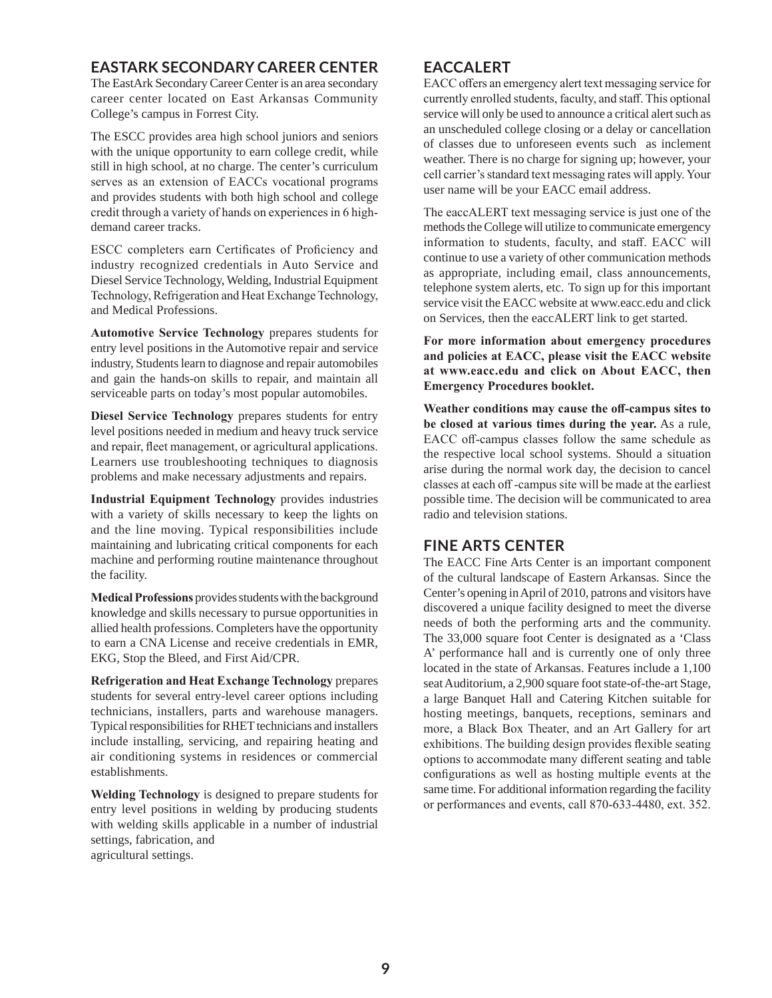#### **EASTARK SECONDARY CAREER CENTER**

The EastArk Secondary Career Center is an area secondary career center located on East Arkansas Community College's campus in Forrest City.

The ESCC provides area high school juniors and seniors with the unique opportunity to earn college credit, while still in high school, at no charge. The center's curriculum serves as an extension of EACCs vocational programs and provides students with both high school and college credit through a variety of hands on experiences in 6 highdemand career tracks.

ESCC completers earn Certificates of Proficiency and industry recognized credentials in Auto Service and Diesel Service Technology, Welding, Industrial Equipment Technology, Refrigeration and Heat Exchange Technology, and Medical Professions.

**Automotive Service Technology** prepares students for entry level positions in the Automotive repair and service industry, Students learn to diagnose and repair automobiles and gain the hands-on skills to repair, and maintain all serviceable parts on today's most popular automobiles.

**Diesel Service Technology** prepares students for entry level positions needed in medium and heavy truck service and repair, fleet management, or agricultural applications. Learners use troubleshooting techniques to diagnosis problems and make necessary adjustments and repairs.

**Industrial Equipment Technology** provides industries with a variety of skills necessary to keep the lights on and the line moving. Typical responsibilities include maintaining and lubricating critical components for each machine and performing routine maintenance throughout the facility.

**Medical Professions** provides students with the background knowledge and skills necessary to pursue opportunities in allied health professions. Completers have the opportunity to earn a CNA License and receive credentials in EMR, EKG, Stop the Bleed, and First Aid/CPR.

**Refrigeration and Heat Exchange Technology** prepares students for several entry-level career options including technicians, installers, parts and warehouse managers. Typical responsibilities for RHET technicians and installers include installing, servicing, and repairing heating and air conditioning systems in residences or commercial establishments.

**Welding Technology** is designed to prepare students for entry level positions in welding by producing students with welding skills applicable in a number of industrial settings, fabrication, and agricultural settings.

#### **EACCALERT**

EACC offers an emergency alert text messaging service for currently enrolled students, faculty, and staff. This optional service will only be used to announce a critical alert such as an unscheduled college closing or a delay or cancellation of classes due to unforeseen events such as inclement weather. There is no charge for signing up; however, your cell carrier's standard text messaging rates will apply. Your user name will be your EACC email address.

The eaccALERT text messaging service is just one of the methods the College will utilize to communicate emergency information to students, faculty, and staff. EACC will continue to use a variety of other communication methods as appropriate, including email, class announcements, telephone system alerts, etc. To sign up for this important service visit the EACC website at www.eacc.edu and click on Services, then the eaccALERT link to get started.

**For more information about emergency procedures and policies at EACC, please visit the EACC website at www.eacc.edu and click on About EACC, then Emergency Procedures booklet.**

**Weather conditions may cause the off-campus sites to be closed at various times during the year.** As a rule, EACC off-campus classes follow the same schedule as the respective local school systems. Should a situation arise during the normal work day, the decision to cancel classes at each off -campus site will be made at the earliest possible time. The decision will be communicated to area radio and television stations.

#### **FINE ARTS CENTER**

The EACC Fine Arts Center is an important component of the cultural landscape of Eastern Arkansas. Since the Center's opening in April of 2010, patrons and visitors have discovered a unique facility designed to meet the diverse needs of both the performing arts and the community. The 33,000 square foot Center is designated as a 'Class A' performance hall and is currently one of only three located in the state of Arkansas. Features include a 1,100 seat Auditorium, a 2,900 square foot state-of-the-art Stage, a large Banquet Hall and Catering Kitchen suitable for hosting meetings, banquets, receptions, seminars and more, a Black Box Theater, and an Art Gallery for art exhibitions. The building design provides flexible seating options to accommodate many different seating and table configurations as well as hosting multiple events at the same time. For additional information regarding the facility or performances and events, call 870-633-4480, ext. 352.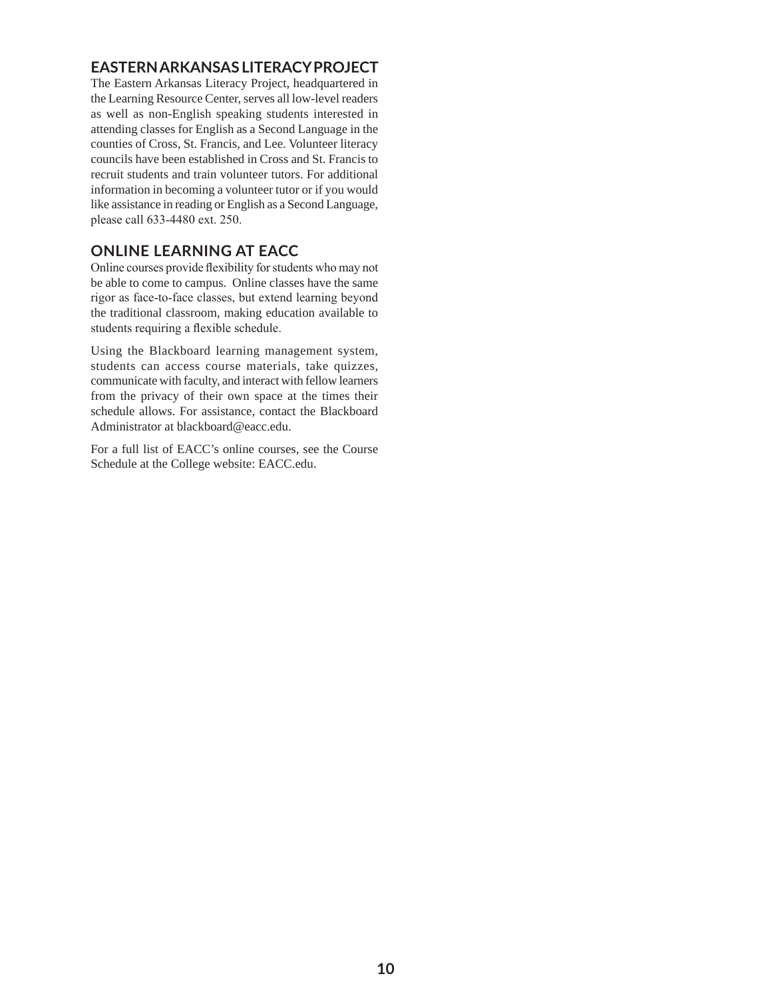#### **EASTERN ARKANSAS LITERACY PROJECT**

The Eastern Arkansas Literacy Project, headquartered in the Learning Resource Center, serves all low-level readers as well as non-English speaking students interested in attending classes for English as a Second Language in the counties of Cross, St. Francis, and Lee. Volunteer literacy councils have been established in Cross and St. Francis to recruit students and train volunteer tutors. For additional information in becoming a volunteer tutor or if you would like assistance in reading or English as a Second Language, please call 633-4480 ext. 250.

#### **ONLINE LEARNING AT EACC**

Online courses provide flexibility for students who may not be able to come to campus. Online classes have the same rigor as face-to-face classes, but extend learning beyond the traditional classroom, making education available to students requiring a flexible schedule.

Using the Blackboard learning management system, students can access course materials, take quizzes, communicate with faculty, and interact with fellow learners from the privacy of their own space at the times their schedule allows. For assistance, contact the Blackboard Administrator at blackboard@eacc.edu.

For a full list of EACC's online courses, see the Course Schedule at the College website: EACC.edu.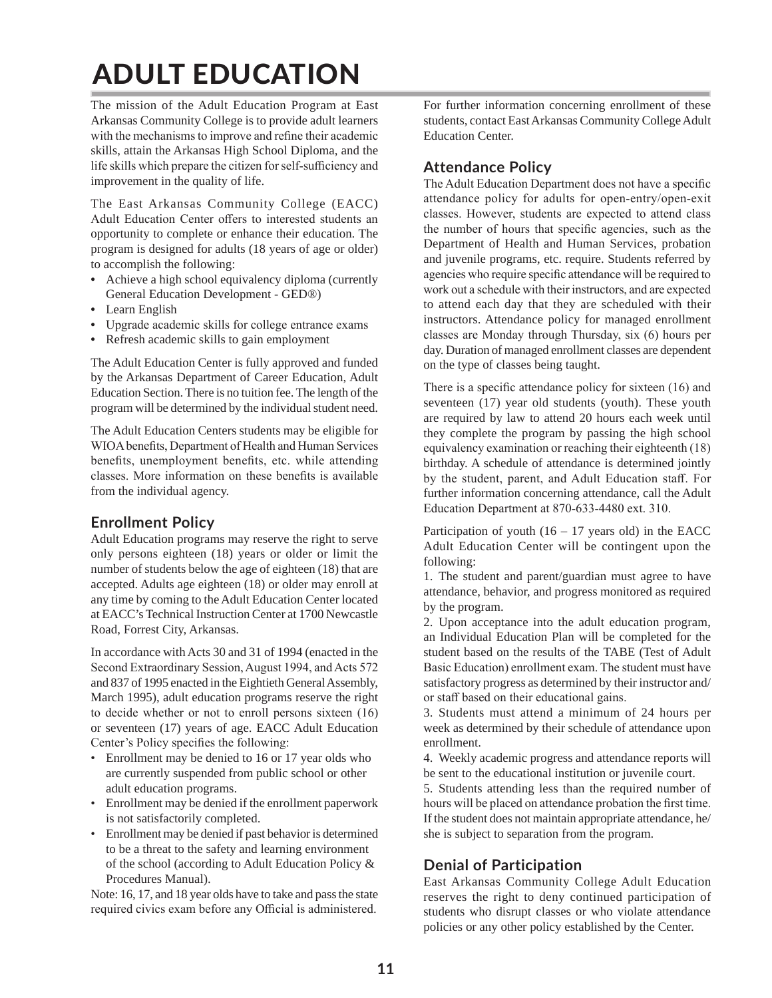## ADULT EDUCATION

The mission of the Adult Education Program at East Arkansas Community College is to provide adult learners with the mechanisms to improve and refine their academic skills, attain the Arkansas High School Diploma, and the life skills which prepare the citizen for self-sufficiency and improvement in the quality of life.

The East Arkansas Community College (EACC) Adult Education Center offers to interested students an opportunity to complete or enhance their education. The program is designed for adults (18 years of age or older) to accomplish the following:

- **•** Achieve a high school equivalency diploma (currently General Education Development - GED®)
- **•** Learn English
- **•** Upgrade academic skills for college entrance exams
- **•** Refresh academic skills to gain employment

The Adult Education Center is fully approved and funded by the Arkansas Department of Career Education, Adult Education Section. There is no tuition fee. The length of the program will be determined by the individual student need.

The Adult Education Centers students may be eligible for WIOA benefits, Department of Health and Human Services benefits, unemployment benefits, etc. while attending classes. More information on these benefits is available from the individual agency.

#### **Enrollment Policy**

Adult Education programs may reserve the right to serve only persons eighteen (18) years or older or limit the number of students below the age of eighteen (18) that are accepted. Adults age eighteen (18) or older may enroll at any time by coming to the Adult Education Center located at EACC's Technical Instruction Center at 1700 Newcastle Road, Forrest City, Arkansas.

In accordance with Acts 30 and 31 of 1994 (enacted in the Second Extraordinary Session, August 1994, and Acts 572 and 837 of 1995 enacted in the Eightieth General Assembly, March 1995), adult education programs reserve the right to decide whether or not to enroll persons sixteen (16) or seventeen (17) years of age. EACC Adult Education Center's Policy specifies the following:

- Enrollment may be denied to 16 or 17 year olds who are currently suspended from public school or other adult education programs.
- Enrollment may be denied if the enrollment paperwork is not satisfactorily completed.
- Enrollment may be denied if past behavior is determined to be a threat to the safety and learning environment of the school (according to Adult Education Policy & Procedures Manual).

Note: 16, 17, and 18 year olds have to take and pass the state required civics exam before any Official is administered. For further information concerning enrollment of these students, contact East Arkansas Community College Adult Education Center.

#### **Attendance Policy**

The Adult Education Department does not have a specific attendance policy for adults for open-entry/open-exit classes. However, students are expected to attend class the number of hours that specific agencies, such as the Department of Health and Human Services, probation and juvenile programs, etc. require. Students referred by agencies who require specific attendance will be required to work out a schedule with their instructors, and are expected to attend each day that they are scheduled with their instructors. Attendance policy for managed enrollment classes are Monday through Thursday, six (6) hours per day. Duration of managed enrollment classes are dependent on the type of classes being taught.

There is a specific attendance policy for sixteen (16) and seventeen (17) year old students (youth). These youth are required by law to attend 20 hours each week until they complete the program by passing the high school equivalency examination or reaching their eighteenth (18) birthday. A schedule of attendance is determined jointly by the student, parent, and Adult Education staff. For further information concerning attendance, call the Adult Education Department at 870-633-4480 ext. 310.

Participation of youth  $(16 - 17$  years old) in the EACC Adult Education Center will be contingent upon the following:

1. The student and parent/guardian must agree to have attendance, behavior, and progress monitored as required by the program.

2. Upon acceptance into the adult education program, an Individual Education Plan will be completed for the student based on the results of the TABE (Test of Adult Basic Education) enrollment exam. The student must have satisfactory progress as determined by their instructor and/ or staff based on their educational gains.

3. Students must attend a minimum of 24 hours per week as determined by their schedule of attendance upon enrollment.

4. Weekly academic progress and attendance reports will be sent to the educational institution or juvenile court.

5. Students attending less than the required number of hours will be placed on attendance probation the first time. If the student does not maintain appropriate attendance, he/ she is subject to separation from the program.

#### **Denial of Participation**

East Arkansas Community College Adult Education reserves the right to deny continued participation of students who disrupt classes or who violate attendance policies or any other policy established by the Center.